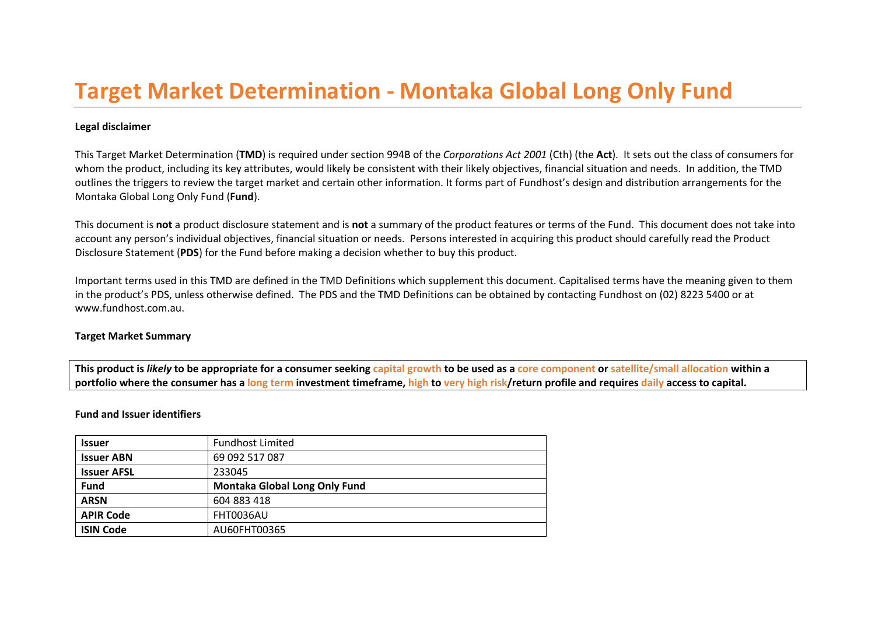# **Target Market Determination - Montaka Global Long Only Fund**

## **Legal disclaimer**

This Target Market Determination (**TMD**) is required under section 994B of the *Corporations Act 2001* (Cth) (the **Act**). It sets out the class of consumers for whom the product, including its key attributes, would likely be consistent with their likely objectives, financial situation and needs. In addition, the TMD outlines the triggers to review the target market and certain other information. It forms part of Fundhost's design and distribution arrangements for the Montaka Global Long Only Fund (**Fund**).

This document is **not** a product disclosure statement and is **not** a summary of the product features or terms of the Fund. This document does not take into account any person's individual objectives, financial situation or needs. Persons interested in acquiring this product should carefully read the Product Disclosure Statement (**PDS**) for the Fund before making a decision whether to buy this product.

Important terms used in this TMD are defined in the TMD Definitions which supplement this document. Capitalised terms have the meaning given to them in the product's PDS, unless otherwise defined. The PDS and the TMD Definitions can be obtained by contacting Fundhost on (02) 8223 5400 or at www.fundhost.com.au.

#### **Target Market Summary**

**This product is** *likely* **to be appropriate for a consumer seeking capital growth to be used as a core component or satellite/small allocation within a portfolio where the consumer has a long term investment timeframe, high to very high risk/return profile and requires daily access to capital.** 

#### **Fund and Issuer identifiers**

| <b>Issuer</b>      | <b>Fundhost Limited</b>       |
|--------------------|-------------------------------|
| <b>Issuer ABN</b>  | 69 092 517 087                |
| <b>Issuer AFSL</b> | 233045                        |
| <b>Fund</b>        | Montaka Global Long Only Fund |
| <b>ARSN</b>        | 604 883 418                   |
| <b>APIR Code</b>   | FHT0036AU                     |
| <b>ISIN Code</b>   | AU60FHT00365                  |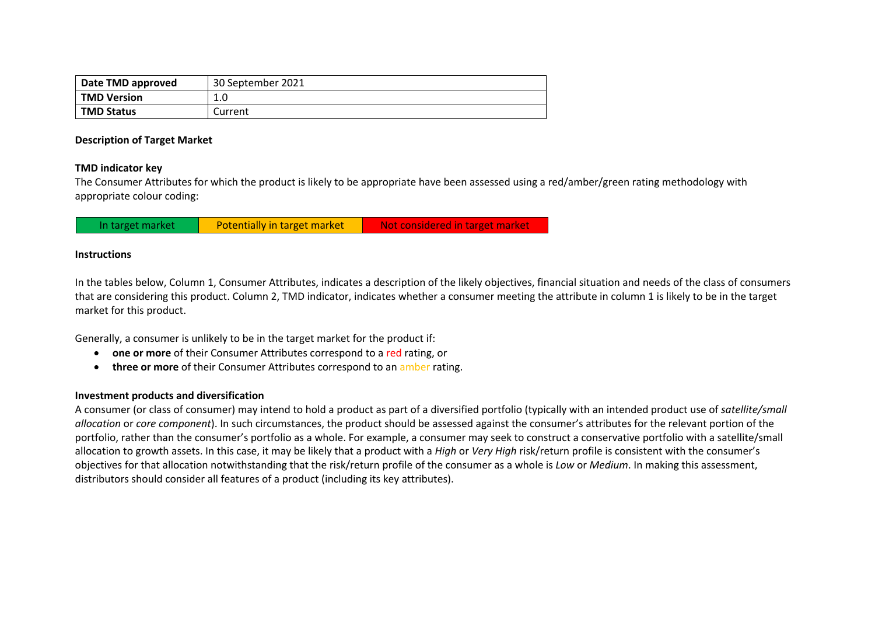| Date TMD approved  | 30 September 2021 |  |  |
|--------------------|-------------------|--|--|
| <b>TMD Version</b> | 1.0               |  |  |
| <b>TMD Status</b>  | Current           |  |  |

#### **Description of Target Market**

## **TMD indicator key**

The Consumer Attributes for which the product is likely to be appropriate have been assessed using a red/amber/green rating methodology with appropriate colour coding:

|  | In target market | Potentially in target market | Not considered in target market |
|--|------------------|------------------------------|---------------------------------|
|--|------------------|------------------------------|---------------------------------|

## **Instructions**

In the tables below, Column 1, Consumer Attributes, indicates a description of the likely objectives, financial situation and needs of the class of consumers that are considering this product. Column 2, TMD indicator, indicates whether a consumer meeting the attribute in column 1 is likely to be in the target market for this product.

Generally, a consumer is unlikely to be in the target market for the product if:

- **one or more** of their Consumer Attributes correspond to a red rating, or
- **three or more** of their Consumer Attributes correspond to an amber rating.

# **Investment products and diversification**

A consumer (or class of consumer) may intend to hold a product as part of a diversified portfolio (typically with an intended product use of *satellite/small allocation* or *core component*). In such circumstances, the product should be assessed against the consumer's attributes for the relevant portion of the portfolio, rather than the consumer's portfolio as a whole. For example, a consumer may seek to construct a conservative portfolio with a satellite/small allocation to growth assets. In this case, it may be likely that a product with a *High* or *Very High* risk/return profile is consistent with the consumer's objectives for that allocation notwithstanding that the risk/return profile of the consumer as a whole is *Low* or *Medium*. In making this assessment, distributors should consider all features of a product (including its key attributes).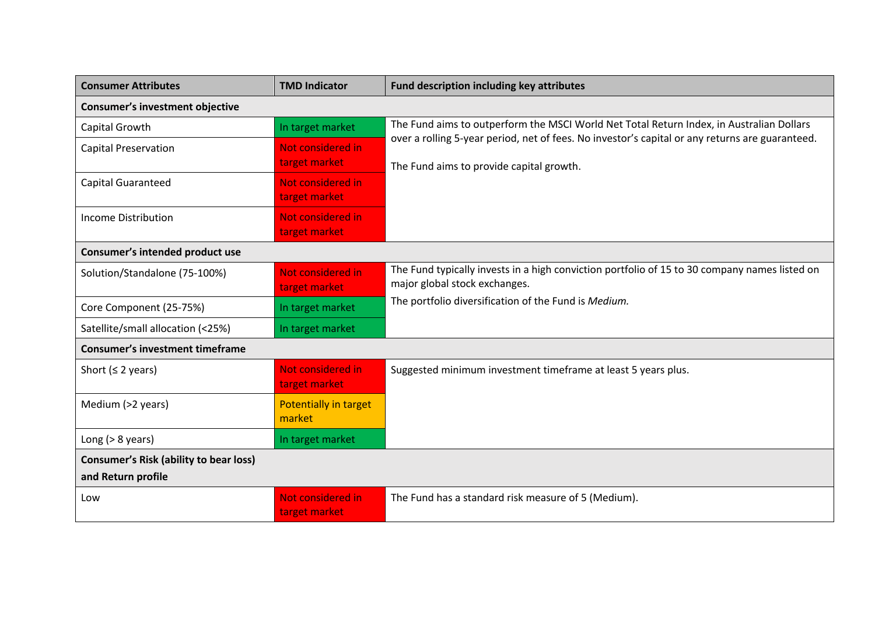| <b>Consumer Attributes</b>                                          | <b>TMD Indicator</b>                   | Fund description including key attributes                                                                                                   |
|---------------------------------------------------------------------|----------------------------------------|---------------------------------------------------------------------------------------------------------------------------------------------|
| <b>Consumer's investment objective</b>                              |                                        |                                                                                                                                             |
| Capital Growth                                                      | In target market                       | The Fund aims to outperform the MSCI World Net Total Return Index, in Australian Dollars                                                    |
| <b>Capital Preservation</b>                                         | Not considered in<br>target market     | over a rolling 5-year period, net of fees. No investor's capital or any returns are guaranteed.<br>The Fund aims to provide capital growth. |
| <b>Capital Guaranteed</b>                                           | Not considered in<br>target market     |                                                                                                                                             |
| Income Distribution                                                 | Not considered in<br>target market     |                                                                                                                                             |
| Consumer's intended product use                                     |                                        |                                                                                                                                             |
| Solution/Standalone (75-100%)                                       | Not considered in<br>target market     | The Fund typically invests in a high conviction portfolio of 15 to 30 company names listed on<br>major global stock exchanges.              |
| Core Component (25-75%)                                             | In target market                       | The portfolio diversification of the Fund is Medium.                                                                                        |
| Satellite/small allocation (<25%)                                   | In target market                       |                                                                                                                                             |
| <b>Consumer's investment timeframe</b>                              |                                        |                                                                                                                                             |
| Short ( $\leq$ 2 years)                                             | Not considered in<br>target market     | Suggested minimum investment timeframe at least 5 years plus.                                                                               |
| Medium (>2 years)                                                   | <b>Potentially in target</b><br>market |                                                                                                                                             |
| Long $(> 8$ years)                                                  | In target market                       |                                                                                                                                             |
| <b>Consumer's Risk (ability to bear loss)</b><br>and Return profile |                                        |                                                                                                                                             |
| Low                                                                 | Not considered in<br>target market     | The Fund has a standard risk measure of 5 (Medium).                                                                                         |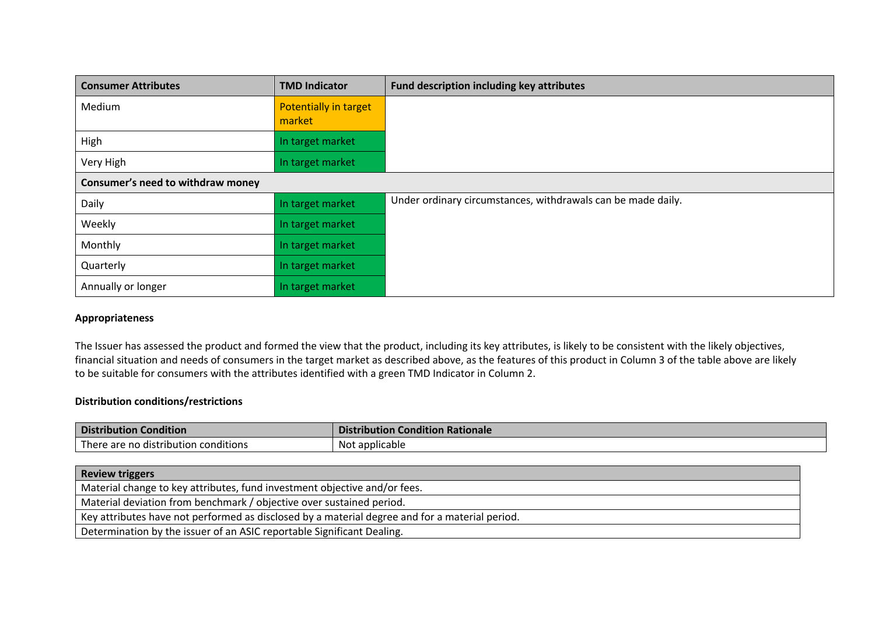| <b>Consumer Attributes</b>        | <b>TMD Indicator</b>            | Fund description including key attributes                    |
|-----------------------------------|---------------------------------|--------------------------------------------------------------|
| Medium                            | Potentially in target<br>market |                                                              |
| High                              | In target market                |                                                              |
| Very High                         | In target market                |                                                              |
| Consumer's need to withdraw money |                                 |                                                              |
| Daily                             | In target market                | Under ordinary circumstances, withdrawals can be made daily. |
| Weekly                            | In target market                |                                                              |
| Monthly                           | In target market                |                                                              |
| Quarterly                         | In target market                |                                                              |
| Annually or longer                | In target market                |                                                              |

# **Appropriateness**

The Issuer has assessed the product and formed the view that the product, including its key attributes, is likely to be consistent with the likely objectives, financial situation and needs of consumers in the target market as described above, as the features of this product in Column 3 of the table above are likely to be suitable for consumers with the attributes identified with a green TMD Indicator in Column 2.

# **Distribution conditions/restrictions**

| <b>Dist</b><br>Condition<br><b>ribution</b> | <b>Condition Rationale</b><br>Distribution |
|---------------------------------------------|--------------------------------------------|
| . .                                         | ' applicable                               |
| There are no distribution conditions        | . Not                                      |

| <b>Review triggers</b>                                                                         |
|------------------------------------------------------------------------------------------------|
| Material change to key attributes, fund investment objective and/or fees.                      |
| Material deviation from benchmark / objective over sustained period.                           |
| Key attributes have not performed as disclosed by a material degree and for a material period. |
| Determination by the issuer of an ASIC reportable Significant Dealing.                         |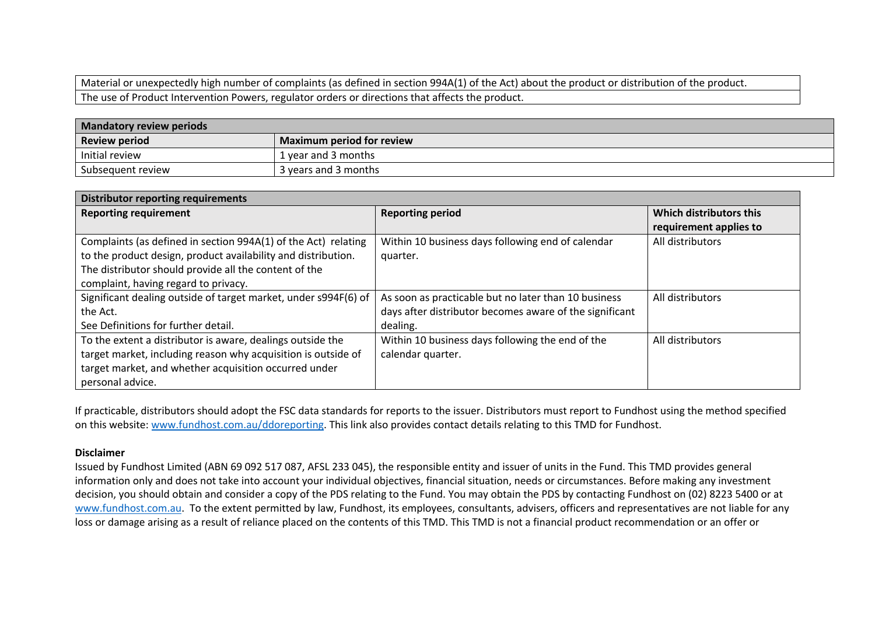Material or unexpectedly high number of complaints (as defined in section 994A(1) of the Act) about the product or distribution of the product. The use of Product Intervention Powers, regulator orders or directions that affects the product.

| <b>Mandatory review periods</b> |                                  |  |
|---------------------------------|----------------------------------|--|
| <b>Review period</b>            | <b>Maximum period for review</b> |  |
| Initial review                  | 1 vear and 3 months              |  |
| Subsequent review               | 3 years and 3 months             |  |

| <b>Distributor reporting requirements</b>                       |                                                         |                         |  |
|-----------------------------------------------------------------|---------------------------------------------------------|-------------------------|--|
| <b>Reporting requirement</b>                                    | <b>Reporting period</b>                                 | Which distributors this |  |
|                                                                 |                                                         | requirement applies to  |  |
| Complaints (as defined in section 994A(1) of the Act) relating  | Within 10 business days following end of calendar       | All distributors        |  |
| to the product design, product availability and distribution.   | quarter.                                                |                         |  |
| The distributor should provide all the content of the           |                                                         |                         |  |
| complaint, having regard to privacy.                            |                                                         |                         |  |
| Significant dealing outside of target market, under s994F(6) of | As soon as practicable but no later than 10 business    | All distributors        |  |
| the Act.                                                        | days after distributor becomes aware of the significant |                         |  |
| See Definitions for further detail.                             | dealing.                                                |                         |  |
| To the extent a distributor is aware, dealings outside the      | Within 10 business days following the end of the        | All distributors        |  |
| target market, including reason why acquisition is outside of   | calendar quarter.                                       |                         |  |
| target market, and whether acquisition occurred under           |                                                         |                         |  |
| personal advice.                                                |                                                         |                         |  |

If practicable, distributors should adopt the FSC data standards for reports to the issuer. Distributors must report to Fundhost using the method specified on this website: www.fundhost.com.au/ddoreporting. This link also provides contact details relating to this TMD for Fundhost.

#### **Disclaimer**

Issued by Fundhost Limited (ABN 69 092 517 087, AFSL 233 045), the responsible entity and issuer of units in the Fund. This TMD provides general information only and does not take into account your individual objectives, financial situation, needs or circumstances. Before making any investment decision, you should obtain and consider a copy of the PDS relating to the Fund. You may obtain the PDS by contacting Fundhost on (02) 8223 5400 or at www.fundhost.com.au. To the extent permitted by law, Fundhost, its employees, consultants, advisers, officers and representatives are not liable for any loss or damage arising as a result of reliance placed on the contents of this TMD. This TMD is not a financial product recommendation or an offer or